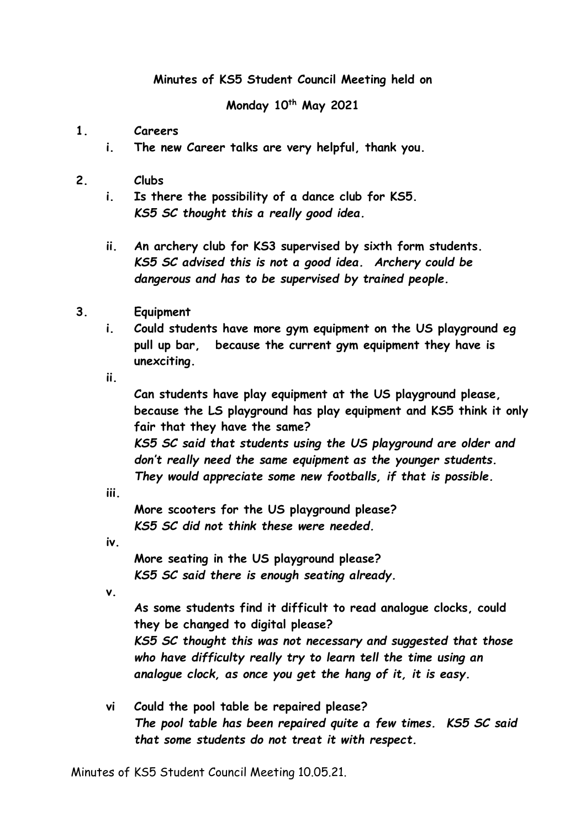**Minutes of KS5 Student Council Meeting held on**

**Monday 10th May 2021**

#### **1. Careers**

- **i. The new Career talks are very helpful, thank you.**
- **2. Clubs**
	- **i. Is there the possibility of a dance club for KS5.** *KS5 SC thought this a really good idea.*
	- **ii. An archery club for KS3 supervised by sixth form students.** *KS5 SC advised this is not a good idea. Archery could be dangerous and has to be supervised by trained people.*
- **3. Equipment**
	- **i. Could students have more gym equipment on the US playground eg pull up bar, because the current gym equipment they have is unexciting.**
	- **ii.**

**Can students have play equipment at the US playground please, because the LS playground has play equipment and KS5 think it only fair that they have the same?**  *KS5 SC said that students using the US playground are older and don't really need the same equipment as the younger students. They would appreciate some new footballs, if that is possible.* 

**iii.**

**More scooters for the US playground please?** *KS5 SC did not think these were needed.*

**iv.**

**More seating in the US playground please?** *KS5 SC said there is enough seating already.*

**v.**

**As some students find it difficult to read analogue clocks, could they be changed to digital please?**  *KS5 SC thought this was not necessary and suggested that those* 

*who have difficulty really try to learn tell the time using an analogue clock, as once you get the hang of it, it is easy.*

**vi Could the pool table be repaired please?** *The pool table has been repaired quite a few times. KS5 SC said that some students do not treat it with respect.* 

Minutes of KS5 Student Council Meeting 10.05.21.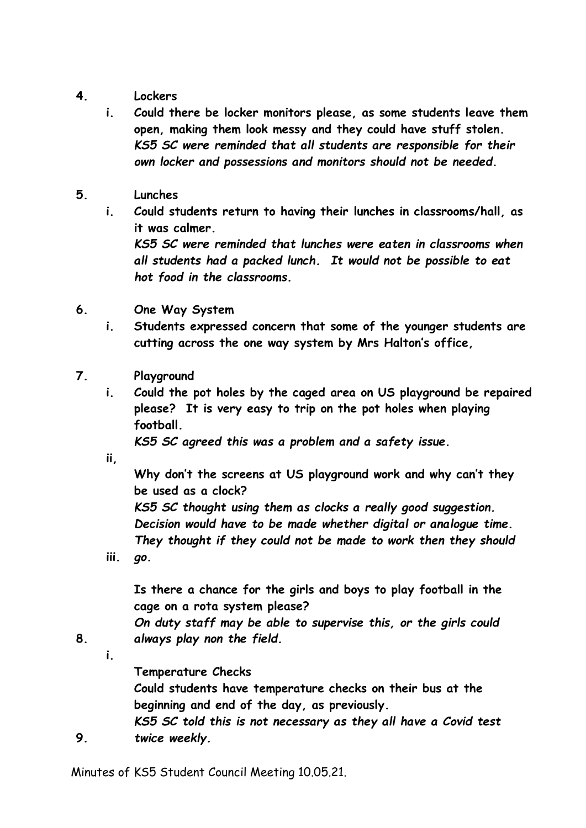### **4. Lockers**

- **i. Could there be locker monitors please, as some students leave them open, making them look messy and they could have stuff stolen.** *KS5 SC were reminded that all students are responsible for their own locker and possessions and monitors should not be needed.*
- **5. Lunches**
	- **i. Could students return to having their lunches in classrooms/hall, as it was calmer.**

*KS5 SC were reminded that lunches were eaten in classrooms when all students had a packed lunch. It would not be possible to eat hot food in the classrooms.*

- **6. One Way System**
	- **i. Students expressed concern that some of the younger students are cutting across the one way system by Mrs Halton's office,**
- **7. Playground**
	- **i. Could the pot holes by the caged area on US playground be repaired please? It is very easy to trip on the pot holes when playing football.**

*KS5 SC agreed this was a problem and a safety issue.* 

**ii,**

**Why don't the screens at US playground work and why can't they be used as a clock?**

*KS5 SC thought using them as clocks a really good suggestion. Decision would have to be made whether digital or analogue time. They thought if they could not be made to work then they should* 

**iii.** *go.* 

> **Is there a chance for the girls and boys to play football in the cage on a rota system please?**

> *On duty staff may be able to supervise this, or the girls could always play non the field.*

**i.**

**8.**

**9.**

**Temperature Checks**

**Could students have temperature checks on their bus at the beginning and end of the day, as previously.** 

*KS5 SC told this is not necessary as they all have a Covid test twice weekly.* 

Minutes of KS5 Student Council Meeting 10.05.21.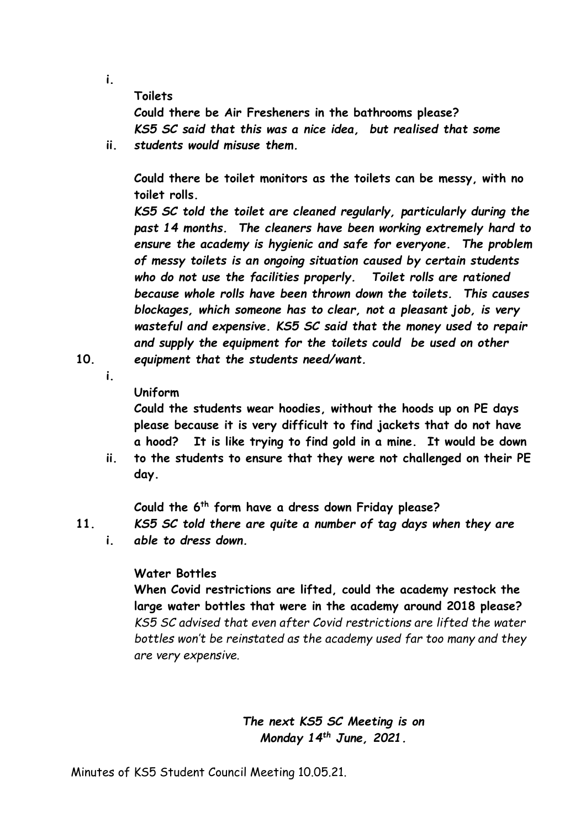**i.**

## **Toilets**

**Could there be Air Fresheners in the bathrooms please?** *KS5 SC said that this was a nice idea, but realised that some* 

**ii.** *students would misuse them.*

> **Could there be toilet monitors as the toilets can be messy, with no toilet rolls.**

*KS5 SC told the toilet are cleaned regularly, particularly during the past 14 months. The cleaners have been working extremely hard to ensure the academy is hygienic and safe for everyone. The problem of messy toilets is an ongoing situation caused by certain students who do not use the facilities properly. Toilet rolls are rationed because whole rolls have been thrown down the toilets. This causes blockages, which someone has to clear, not a pleasant job, is very wasteful and expensive. KS5 SC said that the money used to repair and supply the equipment for the toilets could be used on other equipment that the students need/want.* 

**10.**

**i.**

# **Uniform**

**Could the students wear hoodies, without the hoods up on PE days please because it is very difficult to find jackets that do not have a hood? It is like trying to find gold in a mine. It would be down** 

**ii. to the students to ensure that they were not challenged on their PE day.**

**Could the 6th form have a dress down Friday please?**

- **11.** *KS5 SC told there are quite a number of tag days when they are* 
	- **i.** *able to dress down.*

# **Water Bottles**

**When Covid restrictions are lifted, could the academy restock the large water bottles that were in the academy around 2018 please?** *KS5 SC advised that even after Covid restrictions are lifted the water bottles won't be reinstated as the academy used far too many and they are very expensive.* 

> *The next KS5 SC Meeting is on Monday 14th June, 2021.*